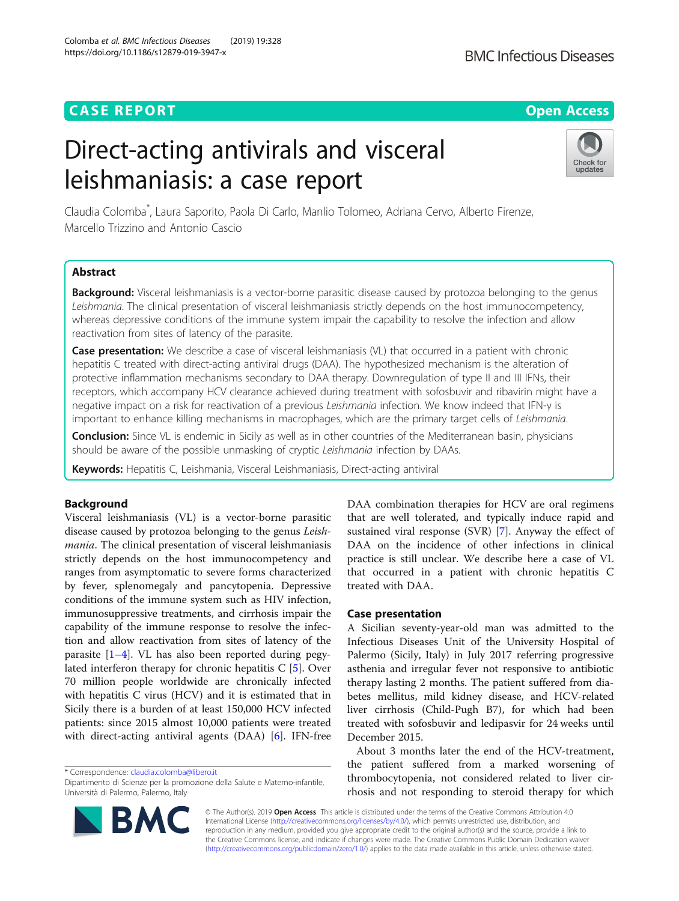# **CASE REPORT CASE REPORT CASE REPORT**

# Direct-acting antivirals and visceral leishmaniasis: a case report

Claudia Colomba\* , Laura Saporito, Paola Di Carlo, Manlio Tolomeo, Adriana Cervo, Alberto Firenze, Marcello Trizzino and Antonio Cascio

# Abstract

Background: Visceral leishmaniasis is a vector-borne parasitic disease caused by protozoa belonging to the genus Leishmania. The clinical presentation of visceral leishmaniasis strictly depends on the host immunocompetency, whereas depressive conditions of the immune system impair the capability to resolve the infection and allow reactivation from sites of latency of the parasite.

Case presentation: We describe a case of visceral leishmaniasis (VL) that occurred in a patient with chronic hepatitis C treated with direct-acting antiviral drugs (DAA). The hypothesized mechanism is the alteration of protective inflammation mechanisms secondary to DAA therapy. Downregulation of type II and III IFNs, their receptors, which accompany HCV clearance achieved during treatment with sofosbuvir and ribavirin might have a negative impact on a risk for reactivation of a previous Leishmania infection. We know indeed that IFN-γ is important to enhance killing mechanisms in macrophages, which are the primary target cells of Leishmania.

Conclusion: Since VL is endemic in Sicily as well as in other countries of the Mediterranean basin, physicians should be aware of the possible unmasking of cryptic Leishmania infection by DAAs.

Keywords: Hepatitis C, Leishmania, Visceral Leishmaniasis, Direct-acting antiviral

# Background

Visceral leishmaniasis (VL) is a vector-borne parasitic disease caused by protozoa belonging to the genus Leishmania. The clinical presentation of visceral leishmaniasis strictly depends on the host immunocompetency and ranges from asymptomatic to severe forms characterized by fever, splenomegaly and pancytopenia. Depressive conditions of the immune system such as HIV infection, immunosuppressive treatments, and cirrhosis impair the capability of the immune response to resolve the infection and allow reactivation from sites of latency of the parasite [[1](#page-2-0)–[4](#page-2-0)]. VL has also been reported during pegylated interferon therapy for chronic hepatitis C [[5\]](#page-2-0). Over 70 million people worldwide are chronically infected with hepatitis C virus (HCV) and it is estimated that in Sicily there is a burden of at least 150,000 HCV infected patients: since 2015 almost 10,000 patients were treated with direct-acting antiviral agents (DAA) [[6](#page-2-0)]. IFN-free

\* Correspondence: [claudia.colomba@libero.it](mailto:claudia.colomba@libero.it)

sustained viral response (SVR) [\[7](#page-2-0)]. Anyway the effect of DAA on the incidence of other infections in clinical practice is still unclear. We describe here a case of VL that occurred in a patient with chronic hepatitis C treated with DAA. Case presentation

DAA combination therapies for HCV are oral regimens that are well tolerated, and typically induce rapid and

A Sicilian seventy-year-old man was admitted to the Infectious Diseases Unit of the University Hospital of Palermo (Sicily, Italy) in July 2017 referring progressive asthenia and irregular fever not responsive to antibiotic therapy lasting 2 months. The patient suffered from diabetes mellitus, mild kidney disease, and HCV-related liver cirrhosis (Child-Pugh B7), for which had been treated with sofosbuvir and ledipasvir for 24 weeks until December 2015.

About 3 months later the end of the HCV-treatment, the patient suffered from a marked worsening of thrombocytopenia, not considered related to liver cirrhosis and not responding to steroid therapy for which

© The Author(s). 2019 Open Access This article is distributed under the terms of the Creative Commons Attribution 4.0 International License [\(http://creativecommons.org/licenses/by/4.0/](http://creativecommons.org/licenses/by/4.0/)), which permits unrestricted use, distribution, and reproduction in any medium, provided you give appropriate credit to the original author(s) and the source, provide a link to the Creative Commons license, and indicate if changes were made. The Creative Commons Public Domain Dedication waiver [\(http://creativecommons.org/publicdomain/zero/1.0/](http://creativecommons.org/publicdomain/zero/1.0/)) applies to the data made available in this article, unless otherwise stated.





Dipartimento di Scienze per la promozione della Salute e Materno-infantile,

Università di Palermo, Palermo, Italy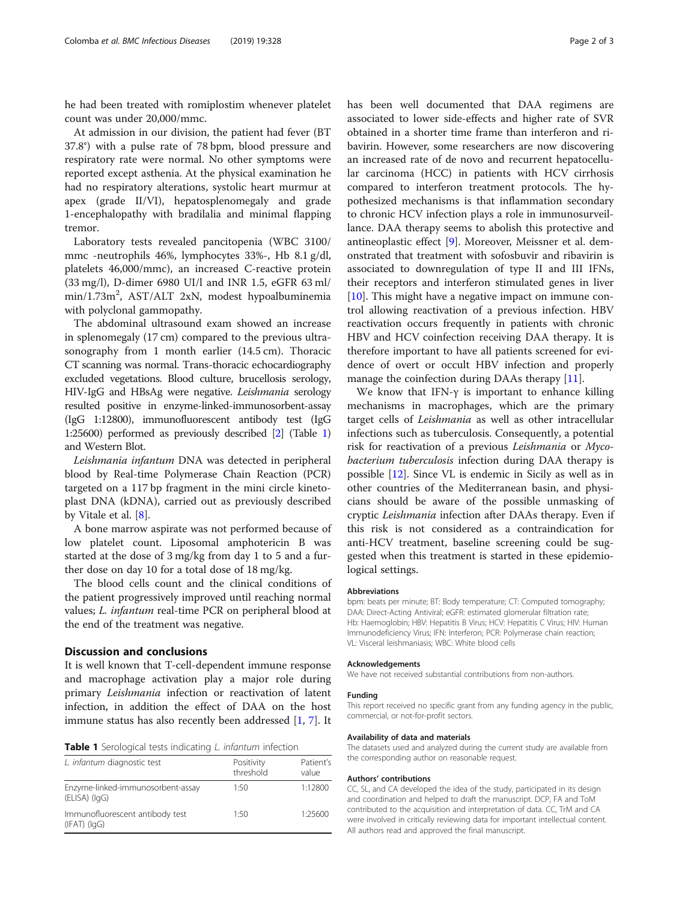he had been treated with romiplostim whenever platelet count was under 20,000/mmc.

At admission in our division, the patient had fever (BT 37.8°) with a pulse rate of 78 bpm, blood pressure and respiratory rate were normal. No other symptoms were reported except asthenia. At the physical examination he had no respiratory alterations, systolic heart murmur at apex (grade II/VI), hepatosplenomegaly and grade 1-encephalopathy with bradilalia and minimal flapping tremor.

Laboratory tests revealed pancitopenia (WBC 3100/ mmc -neutrophils 46%, lymphocytes 33%-, Hb 8.1 g/dl, platelets 46,000/mmc), an increased C-reactive protein (33 mg/l), D-dimer 6980 UI/l and INR 1.5, eGFR 63 ml/ min/1.73m<sup>2</sup>, AST/ALT 2xN, modest hypoalbuminemia with polyclonal gammopathy.

The abdominal ultrasound exam showed an increase in splenomegaly (17 cm) compared to the previous ultrasonography from 1 month earlier (14.5 cm). Thoracic CT scanning was normal. Trans-thoracic echocardiography excluded vegetations. Blood culture, brucellosis serology, HIV-IgG and HBsAg were negative. Leishmania serology resulted positive in enzyme-linked-immunosorbent-assay (IgG 1:12800), immunofluorescent antibody test (IgG 1:25600) performed as previously described [[2](#page-2-0)] (Table 1) and Western Blot.

Leishmania infantum DNA was detected in peripheral blood by Real-time Polymerase Chain Reaction (PCR) targeted on a 117 bp fragment in the mini circle kinetoplast DNA (kDNA), carried out as previously described by Vitale et al. [[8\]](#page-2-0).

A bone marrow aspirate was not performed because of low platelet count. Liposomal amphotericin B was started at the dose of 3 mg/kg from day 1 to 5 and a further dose on day 10 for a total dose of 18 mg/kg.

The blood cells count and the clinical conditions of the patient progressively improved until reaching normal values; L. infantum real-time PCR on peripheral blood at the end of the treatment was negative.

# Discussion and conclusions

It is well known that T-cell-dependent immune response and macrophage activation play a major role during primary Leishmania infection or reactivation of latent infection, in addition the effect of DAA on the host immune status has also recently been addressed [[1,](#page-2-0) [7\]](#page-2-0). It

Table 1 Serological tests indicating L. infantum infection

| L. infantum diagnostic test                            | Positivity<br>threshold | Patient's<br>value |
|--------------------------------------------------------|-------------------------|--------------------|
| Enzyme-linked-immunosorbent-assay<br>$(ELISA)$ $(lqG)$ | 1:50                    | 1:12800            |
| Immunofluorescent antibody test<br>$(IFAT)$ $(lqG)$    | 1.50                    | 1:25600            |

has been well documented that DAA regimens are associated to lower side-effects and higher rate of SVR obtained in a shorter time frame than interferon and ribavirin. However, some researchers are now discovering an increased rate of de novo and recurrent hepatocellular carcinoma (HCC) in patients with HCV cirrhosis compared to interferon treatment protocols. The hypothesized mechanisms is that inflammation secondary to chronic HCV infection plays a role in immunosurveillance. DAA therapy seems to abolish this protective and antineoplastic effect [[9\]](#page-2-0). Moreover, Meissner et al. demonstrated that treatment with sofosbuvir and ribavirin is associated to downregulation of type II and III IFNs, their receptors and interferon stimulated genes in liver [[10\]](#page-2-0). This might have a negative impact on immune control allowing reactivation of a previous infection. HBV reactivation occurs frequently in patients with chronic HBV and HCV coinfection receiving DAA therapy. It is therefore important to have all patients screened for evidence of overt or occult HBV infection and properly manage the coinfection during DAAs therapy [[11\]](#page-2-0).

We know that IFN- $\gamma$  is important to enhance killing mechanisms in macrophages, which are the primary target cells of Leishmania as well as other intracellular infections such as tuberculosis. Consequently, a potential risk for reactivation of a previous Leishmania or Mycobacterium tuberculosis infection during DAA therapy is possible [[12\]](#page-2-0). Since VL is endemic in Sicily as well as in other countries of the Mediterranean basin, and physicians should be aware of the possible unmasking of cryptic Leishmania infection after DAAs therapy. Even if this risk is not considered as a contraindication for anti-HCV treatment, baseline screening could be suggested when this treatment is started in these epidemiological settings.

## Abbreviations

bpm: beats per minute; BT: Body temperature; CT: Computed tomography; DAA: Direct-Acting Antiviral; eGFR: estimated glomerular filtration rate; Hb: Haemoglobin; HBV: Hepatitis B Virus; HCV: Hepatitis C Virus; HIV: Human Immunodeficiency Virus; IFN: Interferon; PCR: Polymerase chain reaction; VL: Visceral leishmaniasis; WBC: White blood cells

# Acknowledgements

We have not received substantial contributions from non-authors.

#### Funding

This report received no specific grant from any funding agency in the public, commercial, or not-for-profit sectors.

## Availability of data and materials

The datasets used and analyzed during the current study are available from the corresponding author on reasonable request.

#### Authors' contributions

CC, SL, and CA developed the idea of the study, participated in its design and coordination and helped to draft the manuscript. DCP, FA and ToM contributed to the acquisition and interpretation of data. CC, TrM and CA were involved in critically reviewing data for important intellectual content. All authors read and approved the final manuscript.